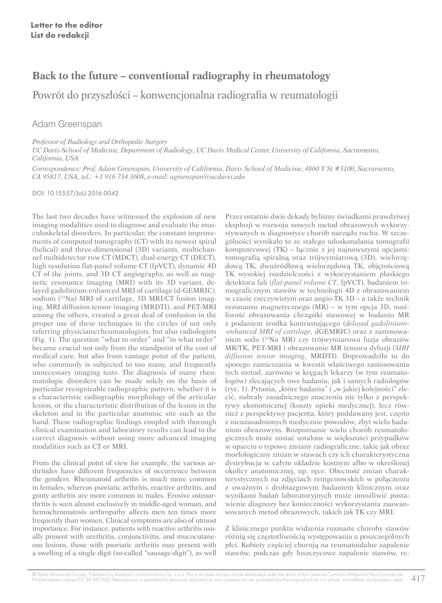## **Back to the future – conventional radiography in rheumatology**

Powrót do przyszłości – konwencjonalna radiografia w reumatologii

Adam Greenspan

*Professor of Radiology and Orthopedic Surgery*

*UC Davis School of Medicine, Department of Radiology, UC Davis Medical Center, University of California, Sacramento, California, USA*

*Correspondence: Prof. Adam Greenspan, University of California, Davis School of Medicine, 4860 Y St #3100, Sacramento, CA 95817, USA, tel.: +1 916 734 3608, e-mail: agreenspan@ucdavis.edu*

DOI: 10.15557/JoU.2016.0042

The last two decades have witnessed the explosion of new imaging modalities used to diagnose and evaluate the musculoskeletal disorders. In particular, the constant improvements of computed tomography (CT) with its newest spiral (helical) and three-dimensional (3D) variants, multichannel multidetector row CT (MDCT), dual-energy CT (DECT), high resolution flat-panel volume CT (fpVCT), dynamic 4D CT of the joints, and 3D CT angiography, as well as magnetic resonance imaging (MRI) with its 3D variant, delayed gadolinium-enhanced MRI of cartilage (d-GEMRIC), sodium (<sup>23</sup>Na) MRI of cartilage, 3D MRI/CT fusion imaging, MRI diffusion tensor imaging (MRDTI), and PET-MRI among the others, created a great deal of confusion in the proper use of these techniques in the circles of not only referring physicians/rheumatologists, but also radiologists (Fig. 1). The question "what to order" and "in what order" became crucial not only from the standpoint of the cost of medical care, but also from vantage point of the patient, who commonly is subjected to too many, and frequently unnecessary imaging tests. The diagnosis of many rheumatologic disorders can be made solely on the basis of particular recognizable radiographic pattern, whether it is a characteristic radiographic morphology of the articular lesion, or the characteristic distribution of the lesion in the skeleton and in the particular anatomic site such as the hand. These radiographic findings coupled with thorough clinical examination and laboratory results can lead to the correct diagnosis without using more advanced imaging modalities such as CT or MRI.

From the clinical point of view for example, the various arthritides have different frequencies of occurrence between the genders. Rheumatoid arthritis is much more common in females, whereas psoriatic arthritis, reactive arthritis, and gouty arthritis are more common in males. Erosive osteoarthritis is seen almost exclusively in middle-aged woman, and hemochromatosis arthropathy affects men ten times more frequently than women. Clinical symptoms are also of utmost importance. For instance, patients with reactive arthritis usually present with urethritis, conjunctivitis, and mucocutaneous lesions, those with psoriatic arthritis may present with a swelling of a single digit (so-called "sausage-digit"), as well Przez ostatnie dwie dekady byliśmy świadkami prawdziwej eksplozji w rozwoju nowych metod obrazowych wykorzystywanych w diagnostyce chorób narządu ruchu. W szczególności wynikało to ze stałego udoskonalania tomografii komputerowej (TK) – łącznie z jej najnowszymi opcjami: tomografią spiralną oraz trójwymiarową (3D), wielorzędową TK, dwuźródłową wielorzędową TK, objętościową TK wysokiej rozdzielczości z wykorzystaniem płaskiego detektora fali (*flat-panel volume CT*, fpVCT), badaniem tomograficznym stawów w technologii 4D z obrazowaniem w czasie rzeczywistym oraz angio-TK 3D – a także technik rezonansu magnetycznego (MR) – w tym opcja 3D, możliwość obrazowania chrząstki stawowej w badaniu MR z podaniem środka kontrastującego (*delayed gadolinium- -enhanced MRI of cartilage*, dGEMRIC) oraz z zastosowaniem sodu (23Na MR) czy trójwymiarowa fuzja obrazów MR/TK, PET-MRI i obrazowanie MR tensora dyfuzji (*MRI diffusion tensor imaging*, MRDTI). Doprowadziło to do sporego zamieszania w kwestii właściwego zastosowania tych metod, zarówno w kręgach lekarzy (w tym reumatologów) zlecających owe badania, jak i samych radiologów (ryc. 1). Pytania, "które badania" i "w jakiej kolejności" zlecić, nabrały zasadniczego znaczenia nie tylko z perspektywy ekonomicznej (koszty opieki medycznej), lecz również z perspektywy pacjenta, który poddawany jest, często z nieuzasadnionych medycznie powodów, zbyt wielu badaniom obrazowym. Rozpoznanie wielu chorób reumatologicznych może zostać ustalone w większości przypadków w oparciu o typowe zmiany radiograficzne, takie jak obraz morfologiczny zmian w stawach czy ich charakterystyczna dystrybucja w całym układzie kostnym albo w określonej okolicy anatomicznej, np. ręce. Obecność zmian charakterystycznych na zdjęciach rentgenowskich w połączeniu z uważnym i drobiazgowym badaniem klinicznym oraz wynikami badań laboratoryjnych może umożliwić postawienie diagnozy bez konieczności wykorzystania zaawansowanych metod obrazowych, takich jak TK czy MRI.

Z klinicznego punktu widzenia rozmaite choroby stawów różnią się częstotliwością występowania u poszczególnych płci. Kobiety częściej chorują na reumatoidalne zapalenie stawów, podczas gdy łuszczycowe zapalenie stawów, re-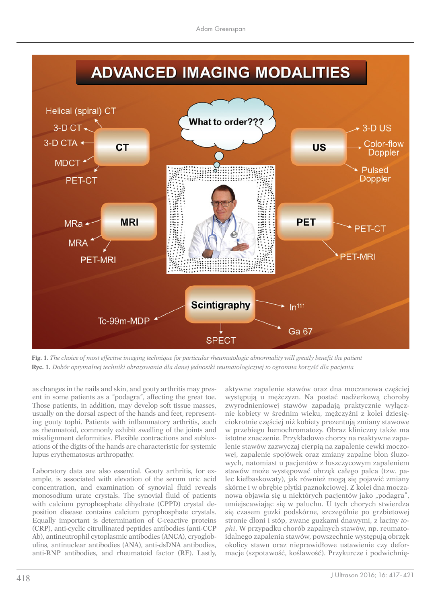## **ADVANCED IMAGING MODALITIES**



**Fig. 1.** *The choice of most effective imaging technique for particular rheumatologic abnormality will greatly benefit the patient* **Ryc. 1.** *Dobór optymalnej techniki obrazowania dla danej jednostki reumatologicznej to ogromna korzyść dla pacjenta*

as changes in the nails and skin, and gouty arthritis may present in some patients as a "podagra", affecting the great toe. Those patients, in addition, may develop soft tissue masses, usually on the dorsal aspect of the hands and feet, representing gouty tophi. Patients with inflammatory arthritis, such as rheumatoid, commonly exhibit swelling of the joints and misalignment deformities. Flexible contractions and subluxations of the digits of the hands are characteristic for systemic lupus erythematosus arthropathy.

Laboratory data are also essential. Gouty arthritis, for example, is associated with elevation of the serum uric acid concentration, and examination of synovial fluid reveals monosodium urate crystals. The synovial fluid of patients with calcium pyrophosphate dihydrate (CPPD) crystal deposition disease contains calcium pyrophosphate crystals. Equally important is determination of C-reactive proteins (CRP), anti-cyclic citrullinated peptides antibodies (anti-CCP Ab), antineutrophil cytoplasmic antibodies (ANCA), cryoglobulins, antinuclear antibodies (ANA), anti-dsDNA antibodies, anti-RNP antibodies, and rheumatoid factor (RF). Lastly, aktywne zapalenie stawów oraz dna moczanowa częściej występują u mężczyzn. Na postać nadżerkową choroby zwyrodnieniowej stawów zapadają praktycznie wyłącznie kobiety w średnim wieku, mężczyźni z kolei dziesięciokrotnie częściej niż kobiety prezentują zmiany stawowe w przebiegu hemochromatozy. Obraz kliniczny także ma istotne znaczenie. Przykładowo chorzy na reaktywne zapalenie stawów zazwyczaj cierpią na zapalenie cewki moczowej, zapalenie spojówek oraz zmiany zapalne błon śluzowych, natomiast u pacjentów z łuszczycowym zapaleniem stawów może występować obrzęk całego palca (tzw. palec kiełbaskowaty), jak również mogą się pojawić zmiany skórne i w obrębie płytki paznokciowej. Z kolei dna moczanowa objawia się u niektórych pacjentów jako "podagra", umiejscawiając się w paluchu. U tych chorych stwierdza się czasem guzki podskórne, szczególnie po grzbietowej stronie dłoni i stóp, zwane guzkami dnawymi, z łaciny *tophi*. W przypadku chorób zapalnych stawów, np. reumatoidalnego zapalenia stawów, powszechnie występują obrzęk okolicy stawu oraz nieprawidłowe ustawienie czy deformacje (szpotawość, koślawość). Przykurcze i podwichnię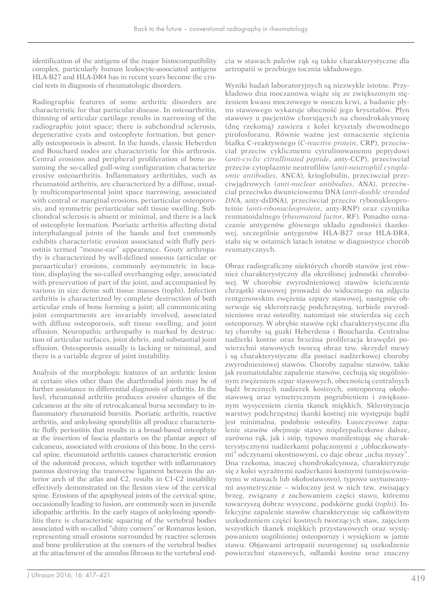identification of the antigens of the major histocompatibility complex, particularly human leukocyte-associated antigens HLA-B27 and HLA-DR4 has in recent years become the crucial tests in diagnosis of rheumatologic disorders.

Radiographic features of some arthritic disorders are characteristic for that particular disease. In osteoarthritis, thinning of articular cartilage results in narrowing of the radiographic joint space; there is subchondral sclerosis, degenerative cysts and osteophyte formation, but generally osteoporosis is absent. In the hands, classic Heberden and Bouchard nodes are characteristic for this arthrosis. Central erosions and peripheral proliferation of bone assuming the so-called gull-wing configuration characterize erosive osteoarthritis. Inflammatory arthritides, such as rheumatoid arthritis, are characterized by a diffuse, usually multicompartmental joint space narrowing, associated with central or marginal erosions, periarticular osteoporosis, and symmetric periarticular soft tissue swelling. Subchondral sclerosis is absent or minimal, and there is a lack of osteophyte formation. Psoriatic arthritis affecting distal interphalangeal joints of the hands and feet commonly exhibits characteristic erosion associated with fluffy periostitis termed "mouse-ear" appearance. Gouty arthropathy is characterized by well-defined osseous (articular or paraarticular) erosions, commonly asymmetric in location, displaying the so-called overhanging edge, associated with preservation of part of the joint, and accompanied by various in size dense soft tissue masses (tophi). Infection arthritis is characterized by complete destruction of both articular ends of bone forming a joint; all communicating joint compartments are invariably involved, associated with diffuse osteoporosis, soft tissue swelling, and joint effusion. Neuropathic arthropathy is marked by destruction of articular surfaces, joint debris, and substantial joint effusion. Osteoporosis usually is lacking or minimal, and there is a variable degree of joint instability.

Analysis of the morphologic features of an arthritic lesion at certain sites other than the diarthrodial joints may be of further assistance in differential diagnosis of arthritis. In the heel, rheumatoid arthritis produces erosive changes of the calcaneus at the site of retrocalcaneal bursa secondary to inflammatory rheumatoid bursitis. Psoriatic arthritis, reactive arthritis, and ankylosing spondylitis all produce characteristic fluffy periostitis that results in a broad-based osteophyte at the insertion of fascia plantaris on the plantar aspect of calcaneus, associated with erosions of this bone. In the cervical spine, rheumatoid arthritis causes characteristic erosion of the odontoid process, which together with inflammatory pannus destroying the transverse ligament between the anterior arch of the atlas and C2, results in C1-C2 instability effectively demonstrated on the flexion view of the cervical spine. Erosions of the apophyseal joints of the cervical spine, occasionally leading to fusion, are commonly seen in juvenile idiopathic arthritis. In the early stages of ankylosing spondylitis there is characteristic squaring of the vertebral bodies associated with so-called "shiny corners" or Romanus lesion, representing small erosions surrounded by reactive sclerosis and bone proliferation at the corners of the vertebral bodies at the attachment of the annulus fibrosus to the vertebral endcia w stawach palców rąk są także charakterystyczne dla artropatii w przebiegu tocznia układowego.

Wyniki badań laboratoryjnych są niezwykle istotne. Przykładowo dna moczanowa wiąże się ze zwiększonym stężeniem kwasu moczowego w osoczu krwi, a badanie płynu stawowego wykazuje obecność jego kryształów. Płyn stawowy u pacjentów chorujących na chondrokalcynozę (dnę rzekomą) zawiera z kolei kryształy dwuwodnego pirofosforanu. Równie ważne jest oznaczenie stężenia białka C-reaktywnego (*C-reactive protein*, CRP), przeciwciał przeciw cyklicznemu cytrulinowanemu peptydowi (*anti-cyclic citrullinated peptide*, anty-CCP), przeciwciał przeciw cytoplazmie neutrofilów (*anti-neutrophil cytoplasmic antibodies*, ANCA), krioglobulin, przeciwciał przeciwjądrowych (*anti-nuclear antibodies*, ANA), przeciwciał przeciwko dwuniciowemu DNA (*anti-double stranded DN*A, anty-dsDNA), przeciwciał przeciw rybonukleoproteinie (*anti-ribonucleoprotein*, anty-RNP) oraz czynnika reumatoidalnego (*rheumatoid factor*, RF). Ponadto oznaczanie antygenów głównego układu zgodności tkankowej, szczególnie antygenów HLA-B27 oraz HLA-DR4, stało się w ostatnich latach istotne w diagnostyce chorób reumatycznych.

Obraz radiograficzny niektórych chorób stawów jest również charakterystyczny dla określonej jednostki chorobowej. W chorobie zwyrodnieniowej stawów ścieńczenie chrząstki stawowej prowadzi do widocznego na zdjęciu rentgenowskim zwężenia szpary stawowej, następnie obserwuje się sklerotyzację podchrzęstną, torbiele zwyrodnieniowe oraz osteofity, natomiast nie stwierdza się cech osteoporozy. W obrębie stawów ręki charakterystyczne dla tej choroby są guzki Heberdena i Boucharda. Centralne nadżerki kostne oraz brzeżna proliferacja krawędzi powierzchni stawowych tworzą obraz tzw. skrzydeł mewy i są charakterystyczne dla postaci nadżerkowej choroby zwyrodnieniowej stawów. Choroby zapalne stawów, takie jak reumatoidalne zapalenie stawów, cechują się uogólnionym zwężeniem szpar stawowych, obecnością centralnych bądź brzeżnych nadżerek kostnych, osteoporozą okołostawową oraz symetrycznym pogrubieniem i zwiększonym wysyceniem cienia tkanek miękkich. Sklerotyzacja warstwy podchrzęstnej tkanki kostnej nie występuje bądź jest minimalna, podobnie osteofity. Łuszczycowe zapalenie stawów obejmuje stawy międzypaliczkowe dalsze, zarówno rąk, jak i stóp, typowo manifestując się charakterystycznymi nadżerkami połączonymi z "obłoczkowatymi" odczynami okostnowymi, co daje obraz "ucha myszy". Dna rzekoma, inaczej chondrokalcynoza, charakteryzuje się z kolei wyraźnymi nadżerkami kostnymi (umiejscowionymi w stawach lub okołostawowo), typowo usytuowanymi asymetrycznie – widoczny jest w nich tzw. zwisający brzeg, związany z zachowaniem części stawu, któremu towarzyszą dobrze wysycone, podskórne guzki (*tophi*). Infekcyjne zapalenie stawów charakteryzuje się całkowitym uszkodzeniem części kostnych tworzących staw, zajęciem wszystkich tkanek miękkich przystawowych oraz występowaniem uogólnionej osteoporozy i wysiękiem w jamie stawu. Objawami artropatii neurogennej są uszkodzenie powierzchni stawowych, odłamki kostne oraz znaczny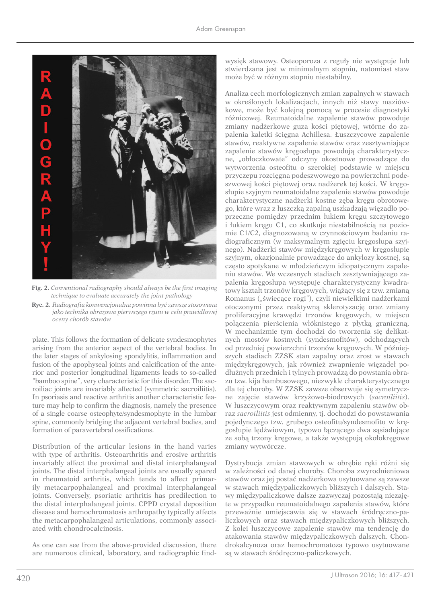

**Fig. 2.** *Conventional radiography should always be the first imaging technique to evaluate accurately the joint pathology*

**Ryc. 2.** *Radiografia konwencjonalna powinna być zawsze stosowana jako technika obrazowa pierwszego rzutu w celu prawidłowej oceny chorób stawów*

plate. This follows the formation of delicate syndesmophytes arising from the anterior aspect of the vertebral bodies. In the later stages of ankylosing spondylitis, inflammation and fusion of the apophyseal joints and calcification of the anterior and posterior longitudinal ligaments leads to so-called "bamboo spine", very characteristic for this disorder. The sacroiliac joints are invariably affected (symmetric sacroiliitis). In psoriasis and reactive arthritis another characteristic feature may help to confirm the diagnosis, namely the presence of a single coarse osteophyte/syndesmophyte in the lumbar spine, commonly bridging the adjacent vertebral bodies, and formation of paravertebral ossifications.

Distribution of the articular lesions in the hand varies with type of arthritis. Osteoarthritis and erosive arthritis invariably affect the proximal and distal interphalangeal joints. The distal interphalangeal joints are usually spared in rheumatoid arthritis, which tends to affect primarily metacarpophalangeal and proximal interphalangeal joints. Conversely, psoriatic arthritis has predilection to the distal interphalangeal joints. CPPD crystal deposition disease and hemochromatosis arthropathy typically affects the metacarpophalangeal articulations, commonly associated with chondrocalcinosis.

As one can see from the above-provided discussion, there are numerous clinical, laboratory, and radiographic findwysięk stawowy. Osteoporoza z reguły nie występuje lub stwierdzana jest w minimalnym stopniu, natomiast staw może być w różnym stopniu niestabilny.

Analiza cech morfologicznych zmian zapalnych w stawach w określonych lokalizacjach, innych niż stawy maziówkowe, może być kolejną pomocą w procesie diagnostyki różnicowej. Reumatoidalne zapalenie stawów powoduje zmiany nadżerkowe guza kości piętowej, wtórne do zapalenia kaletki ścięgna Achillesa. Łuszczycowe zapalenie stawów, reaktywne zapalenie stawów oraz zesztywniające zapalenie stawów kręgosłupa powodują charakterystyczne, "obłoczkowate" odczyny okostnowe prowadzące do wytworzenia osteofitu o szerokiej podstawie w miejscu przyczepu rozcięgna podeszwowego na powierzchni podeszwowej kości piętowej oraz nadżerek tej kości. W kręgosłupie szyjnym reumatoidalne zapalenie stawów powoduje charakterystyczne nadżerki kostne zęba kręgu obrotowego, które wraz z łuszczką zapalną uszkadzają więzadło poprzeczne pomiędzy przednim łukiem kręgu szczytowego i łukiem kręgu C1, co skutkuje niestabilnością na poziomie C1/C2, diagnozowaną w czynnościowym badaniu radiograficznym (w maksymalnym zgięciu kręgosłupa szyjnego). Nadżerki stawów międzykręgowych w kręgosłupie szyjnym, okazjonalnie prowadzące do ankylozy kostnej, są często spotykane w młodzieńczym idiopatycznym zapaleniu stawów. We wczesnych stadiach zesztywniającego zapalenia kręgosłupa występuje charakterystyczny kwadratowy kształt trzonów kręgowych, wiążący się z tzw. zmianą Romanus ("świecące rogi"), czyli niewielkimi nadżerkami otoczonymi przez reaktywną sklerotyzację oraz zmiany proliferacyjne krawędzi trzonów kręgowych, w miejscu połączenia pierścienia włóknistego z płytką graniczną. W mechanizmie tym dochodzi do tworzenia się delikatnych mostów kostnych (syndesmofitów), odchodzących od przedniej powierzchni trzonów kręgowych. W późniejszych stadiach ZZSK stan zapalny oraz zrost w stawach międzykręgowych, jak również zwapnienie więzadeł podłużnych przednich i tylnych prowadzą do powstania obrazu tzw. kija bambusowego, niezwykle charakterystycznego dla tej choroby. W ZZSK zawsze obserwuje się symetryczne zajęcie stawów krzyżowo-biodrowych (*sacroiliitis*). W łuszczycowym oraz reaktywnym zapaleniu stawów obraz *sacroiliitis* jest odmienny, tj. dochodzi do powstawania pojedynczego tzw. grubego osteofitu/syndesmofitu w kręgosłupie lędźwiowym, typowo łączącego dwa sąsiadujące ze sobą trzony kręgowe, a także występują okołokręgowe zmiany wytwórcze.

Dystrybucja zmian stawowych w obrębie ręki różni się w zależności od danej choroby. Choroba zwyrodnieniowa stawów oraz jej postać nadżerkowa usytuowane są zawsze w stawach międzypaliczkowych bliższych i dalszych. Stawy międzypaliczkowe dalsze zazwyczaj pozostają niezajęte w przypadku reumatoidalnego zapalenia stawów, które przeważnie umiejscawia się w stawach śródręczno-paliczkowych oraz stawach międzypaliczkowych bliższych. Z kolei łuszczycowe zapalenie stawów ma tendencję do atakowania stawów międzypaliczkowych dalszych. Chondrokalcynoza oraz hemochromatoza typowo usytuowane są w stawach śródręczno-paliczkowych.